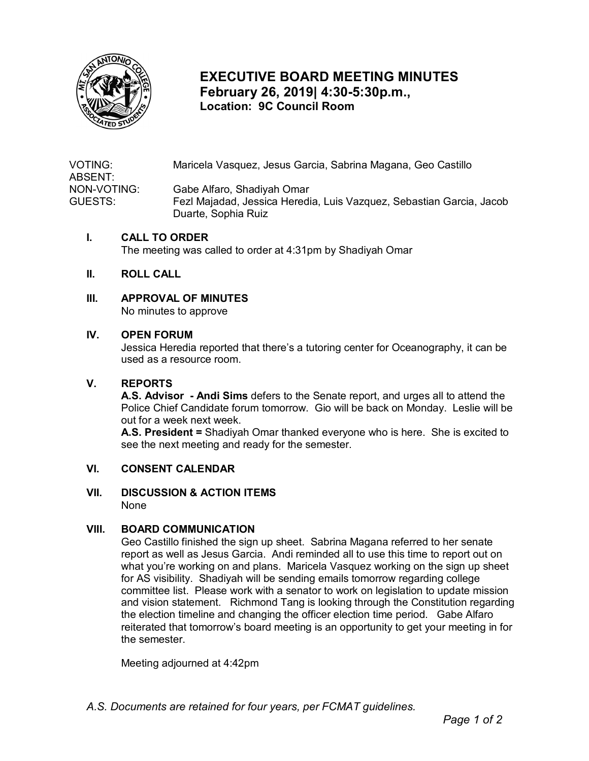

# **EXECUTIVE BOARD MEETING MINUTES February 26, 2019| 4:30-5:30p.m., Location: 9C Council Room**

VOTING: Maricela Vasquez, Jesus Garcia, Sabrina Magana, Geo Castillo ABSENT: NON-VOTING: Gabe Alfaro, Shadiyah Omar GUESTS: Fezl Majadad, Jessica Heredia, Luis Vazquez, Sebastian Garcia, Jacob Duarte, Sophia Ruiz

#### **I. CALL TO ORDER**

The meeting was called to order at 4:31pm by Shadiyah Omar

#### **II. ROLL CALL**

# **III. APPROVAL OF MINUTES**

No minutes to approve

#### **IV. OPEN FORUM**

 Jessica Heredia reported that there's a tutoring center for Oceanography, it can be used as a resource room.

#### **V. REPORTS**

 **A.S. Advisor - Andi Sims** defers to the Senate report, and urges all to attend the out for a week next week. Police Chief Candidate forum tomorrow. Gio will be back on Monday. Leslie will be

 **A.S. President =** Shadiyah Omar thanked everyone who is here. She is excited to see the next meeting and ready for the semester.

#### **VI. CONSENT CALENDAR**

## **VII. DISCUSSION & ACTION ITEMS**

None

## **VIII. BOARD COMMUNICATION**

 report as well as Jesus Garcia. Andi reminded all to use this time to report out on and vision statement. Richmond Tang is looking through the Constitution regarding the election timeline and changing the officer election time period. Gabe Alfaro reiterated that tomorrow's board meeting is an opportunity to get your meeting in for the semester. Geo Castillo finished the sign up sheet. Sabrina Magana referred to her senate what you're working on and plans. Maricela Vasquez working on the sign up sheet for AS visibility. Shadiyah will be sending emails tomorrow regarding college committee list. Please work with a senator to work on legislation to update mission

Meeting adjourned at 4:42pm